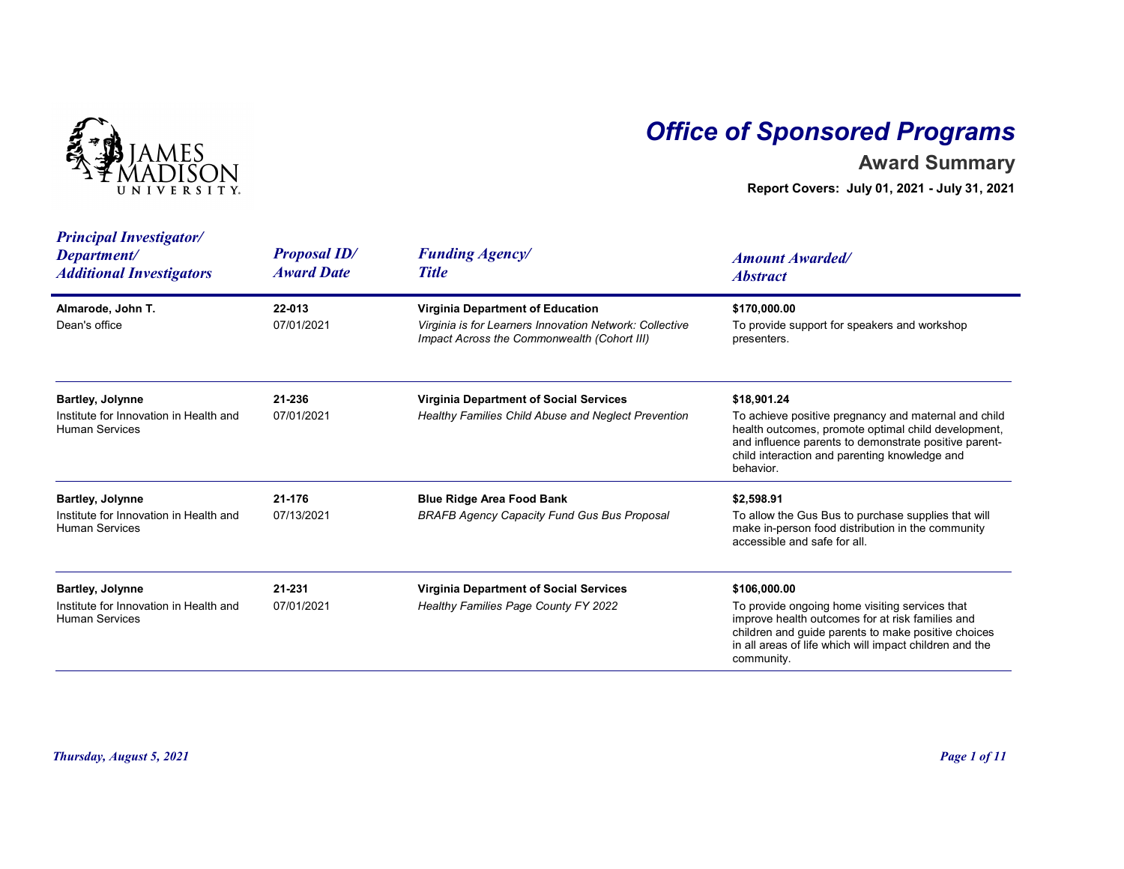

## Office of Sponsored Programs

## Award Summary

| <b>Principal Investigator/</b><br><b>Proposal ID/</b><br><b>Funding Agency/</b><br>Department/<br><b>Amount Awarded/</b><br><b>Award Date</b><br><b>Title</b><br><b>Additional Investigators</b><br><b>Abstract</b>                                                                                                                                                                                                                                                             |
|---------------------------------------------------------------------------------------------------------------------------------------------------------------------------------------------------------------------------------------------------------------------------------------------------------------------------------------------------------------------------------------------------------------------------------------------------------------------------------|
| Almarode, John T.<br>Virginia Department of Education<br>\$170,000.00<br>22-013<br>Dean's office<br>07/01/2021<br>To provide support for speakers and workshop<br>Virginia is for Learners Innovation Network: Collective<br>Impact Across the Commonwealth (Cohort III)<br>presenters.                                                                                                                                                                                         |
| <b>Bartley, Jolynne</b><br>21-236<br><b>Virginia Department of Social Services</b><br>\$18,901.24<br>Institute for Innovation in Health and<br>To achieve positive pregnancy and maternal and child<br>07/01/2021<br>Healthy Families Child Abuse and Neglect Prevention<br>health outcomes, promote optimal child development,<br><b>Human Services</b><br>and influence parents to demonstrate positive parent-<br>child interaction and parenting knowledge and<br>behavior. |
| <b>Bartley, Jolynne</b><br>21-176<br><b>Blue Ridge Area Food Bank</b><br>\$2,598.91<br>To allow the Gus Bus to purchase supplies that will<br>Institute for Innovation in Health and<br>07/13/2021<br><b>BRAFB Agency Capacity Fund Gus Bus Proposal</b><br>make in-person food distribution in the community<br><b>Human Services</b><br>accessible and safe for all.                                                                                                          |
| <b>Bartley, Jolynne</b><br>21-231<br><b>Virginia Department of Social Services</b><br>\$106,000.00<br>Institute for Innovation in Health and<br>07/01/2021<br>Healthy Families Page County FY 2022<br>To provide ongoing home visiting services that<br><b>Human Services</b><br>improve health outcomes for at risk families and<br>children and guide parents to make positive choices<br>in all areas of life which will impact children and the<br>community.               |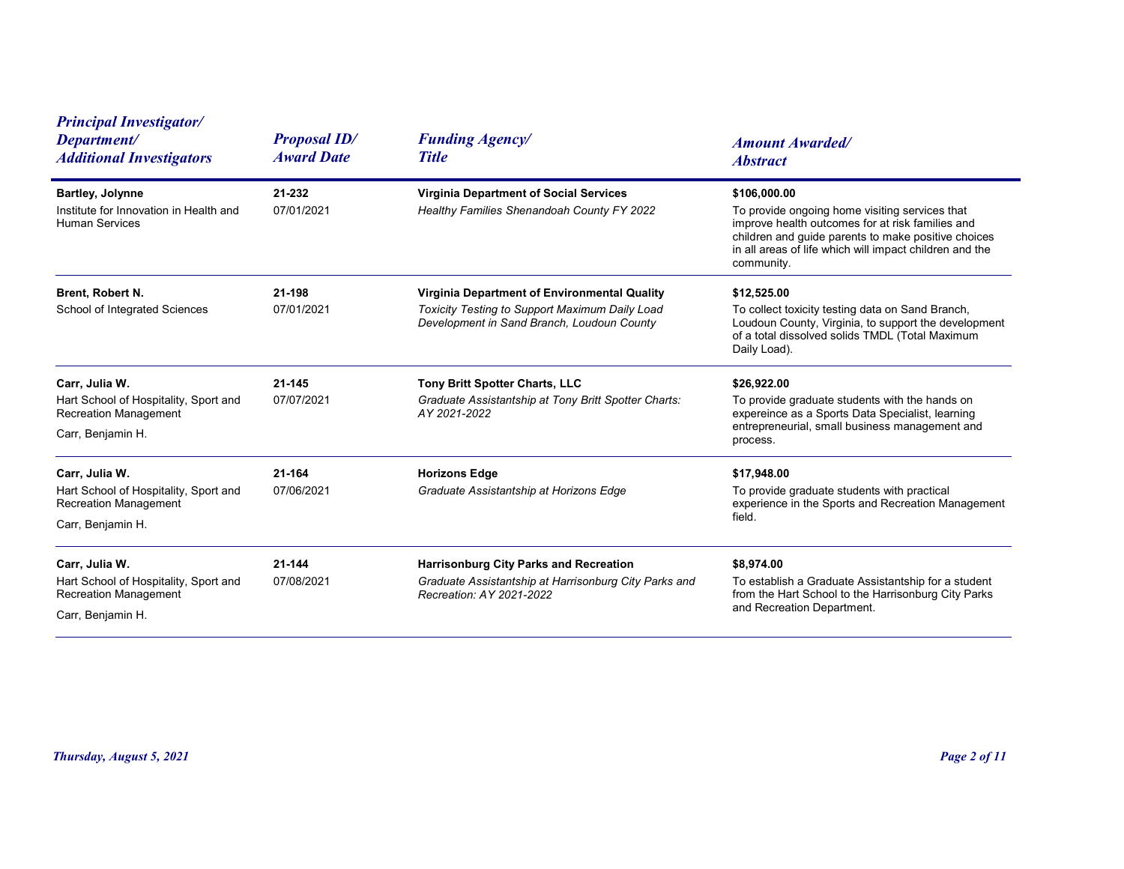| <b>Principal Investigator/</b>                                                                               |                                          |                                                                                                                                              |                                                                                                                                                                                                                                                    |
|--------------------------------------------------------------------------------------------------------------|------------------------------------------|----------------------------------------------------------------------------------------------------------------------------------------------|----------------------------------------------------------------------------------------------------------------------------------------------------------------------------------------------------------------------------------------------------|
| Department/<br><b>Additional Investigators</b>                                                               | <b>Proposal ID/</b><br><b>Award Date</b> | <b>Funding Agency/</b><br><b>Title</b>                                                                                                       | <b>Amount Awarded/</b><br><b>Abstract</b>                                                                                                                                                                                                          |
| <b>Bartley, Jolynne</b><br>Institute for Innovation in Health and<br><b>Human Services</b>                   | 21-232<br>07/01/2021                     | <b>Virginia Department of Social Services</b><br>Healthy Families Shenandoah County FY 2022                                                  | \$106,000.00<br>To provide ongoing home visiting services that<br>improve health outcomes for at risk families and<br>children and guide parents to make positive choices<br>in all areas of life which will impact children and the<br>community. |
| Brent, Robert N.<br>School of Integrated Sciences                                                            | 21-198<br>07/01/2021                     | Virginia Department of Environmental Quality<br>Toxicity Testing to Support Maximum Daily Load<br>Development in Sand Branch, Loudoun County | \$12,525.00<br>To collect toxicity testing data on Sand Branch,<br>Loudoun County, Virginia, to support the development<br>of a total dissolved solids TMDL (Total Maximum<br>Daily Load).                                                         |
| Carr, Julia W.<br>Hart School of Hospitality, Sport and<br><b>Recreation Management</b><br>Carr, Benjamin H. | 21-145<br>07/07/2021                     | Tony Britt Spotter Charts, LLC<br>Graduate Assistantship at Tony Britt Spotter Charts:<br>AY 2021-2022                                       | \$26,922.00<br>To provide graduate students with the hands on<br>expereince as a Sports Data Specialist, learning<br>entrepreneurial, small business management and<br>process.                                                                    |
| Carr, Julia W.<br>Hart School of Hospitality, Sport and<br><b>Recreation Management</b><br>Carr, Benjamin H. | 21-164<br>07/06/2021                     | <b>Horizons Edge</b><br>Graduate Assistantship at Horizons Edge                                                                              | \$17,948.00<br>To provide graduate students with practical<br>experience in the Sports and Recreation Management<br>field.                                                                                                                         |
| Carr, Julia W.<br>Hart School of Hospitality, Sport and<br><b>Recreation Management</b><br>Carr, Benjamin H. | 21-144<br>07/08/2021                     | Harrisonburg City Parks and Recreation<br>Graduate Assistantship at Harrisonburg City Parks and<br>Recreation: AY 2021-2022                  | \$8,974.00<br>To establish a Graduate Assistantship for a student<br>from the Hart School to the Harrisonburg City Parks<br>and Recreation Department.                                                                                             |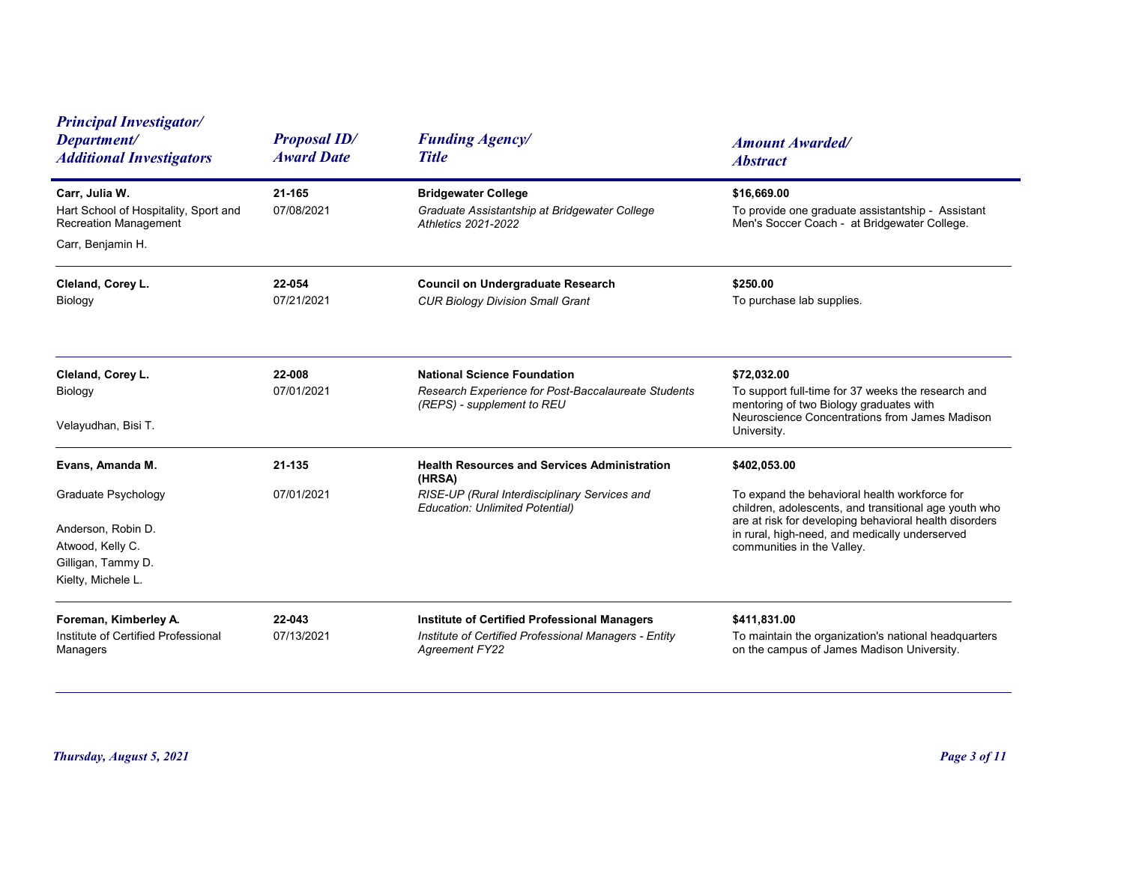| <b>Principal Investigator/</b><br>Department/<br><b>Additional Investigators</b>                                                     | <b>Proposal ID/</b><br><b>Award Date</b> | <b>Funding Agency/</b><br><b>Title</b>                                                                                                                   | <b>Amount Awarded/</b><br><b>Abstract</b>                                                                                                                                                                                                                        |
|--------------------------------------------------------------------------------------------------------------------------------------|------------------------------------------|----------------------------------------------------------------------------------------------------------------------------------------------------------|------------------------------------------------------------------------------------------------------------------------------------------------------------------------------------------------------------------------------------------------------------------|
| Carr, Julia W.<br>Hart School of Hospitality, Sport and<br><b>Recreation Management</b><br>Carr, Benjamin H.                         | 21-165<br>07/08/2021                     | <b>Bridgewater College</b><br>Graduate Assistantship at Bridgewater College<br><b>Athletics 2021-2022</b>                                                | \$16,669.00<br>To provide one graduate assistantship - Assistant<br>Men's Soccer Coach - at Bridgewater College.                                                                                                                                                 |
| Cleland, Corey L.<br>Biology                                                                                                         | 22-054<br>07/21/2021                     | <b>Council on Undergraduate Research</b><br><b>CUR Biology Division Small Grant</b>                                                                      | \$250.00<br>To purchase lab supplies.                                                                                                                                                                                                                            |
| Cleland, Corey L.<br>Biology<br>Velayudhan, Bisi T.                                                                                  | 22-008<br>07/01/2021                     | <b>National Science Foundation</b><br>Research Experience for Post-Baccalaureate Students<br>(REPS) - supplement to REU                                  | \$72,032.00<br>To support full-time for 37 weeks the research and<br>mentoring of two Biology graduates with<br>Neuroscience Concentrations from James Madison<br>University.                                                                                    |
| Evans, Amanda M.<br><b>Graduate Psychology</b><br>Anderson, Robin D.<br>Atwood, Kelly C.<br>Gilligan, Tammy D.<br>Kielty, Michele L. | 21-135<br>07/01/2021                     | <b>Health Resources and Services Administration</b><br>(HRSA)<br>RISE-UP (Rural Interdisciplinary Services and<br><b>Education: Unlimited Potential)</b> | \$402,053.00<br>To expand the behavioral health workforce for<br>children, adolescents, and transitional age youth who<br>are at risk for developing behavioral health disorders<br>in rural, high-need, and medically underserved<br>communities in the Valley. |
| Foreman, Kimberley A.<br>Institute of Certified Professional<br>Managers                                                             | 22-043<br>07/13/2021                     | <b>Institute of Certified Professional Managers</b><br>Institute of Certified Professional Managers - Entity<br><b>Agreement FY22</b>                    | \$411,831.00<br>To maintain the organization's national headquarters<br>on the campus of James Madison University.                                                                                                                                               |
| Thursday, August 5, 2021                                                                                                             |                                          |                                                                                                                                                          | Page 3 of 11                                                                                                                                                                                                                                                     |
|                                                                                                                                      |                                          |                                                                                                                                                          |                                                                                                                                                                                                                                                                  |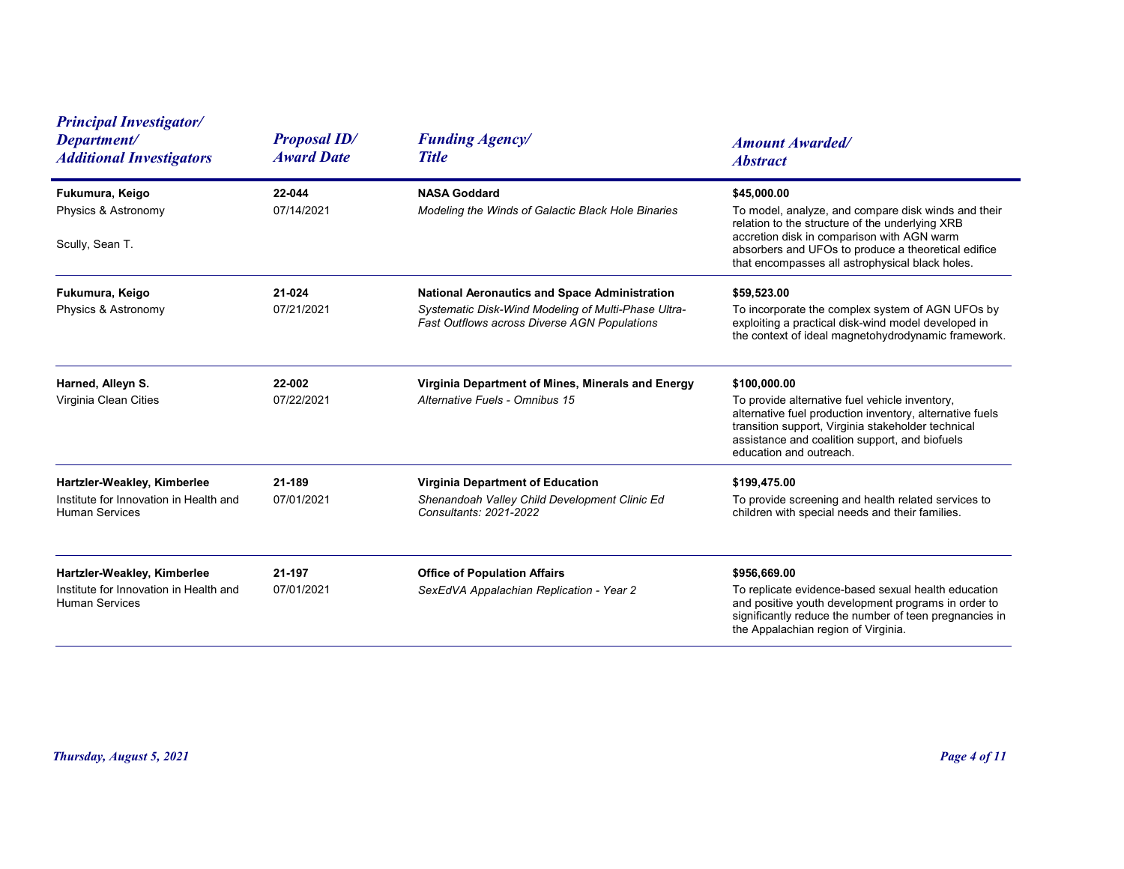| <b>Principal Investigator/</b><br>Department/<br><b>Additional Investigators</b>               | <b>Proposal ID/</b><br><b>Award Date</b> | <b>Funding Agency/</b><br><b>Title</b>                                                                                                                      | <b>Amount Awarded/</b><br><b>Abstract</b>                                                                                                                                                                                                                                     |
|------------------------------------------------------------------------------------------------|------------------------------------------|-------------------------------------------------------------------------------------------------------------------------------------------------------------|-------------------------------------------------------------------------------------------------------------------------------------------------------------------------------------------------------------------------------------------------------------------------------|
| Fukumura, Keigo<br>Physics & Astronomy<br>Scully, Sean T.                                      | 22-044<br>07/14/2021                     | <b>NASA Goddard</b><br>Modeling the Winds of Galactic Black Hole Binaries                                                                                   | \$45,000.00<br>To model, analyze, and compare disk winds and their<br>relation to the structure of the underlying XRB<br>accretion disk in comparison with AGN warm<br>absorbers and UFOs to produce a theoretical edifice<br>that encompasses all astrophysical black holes. |
| Fukumura, Keigo<br>Physics & Astronomy                                                         | 21-024<br>07/21/2021                     | <b>National Aeronautics and Space Administration</b><br>Systematic Disk-Wind Modeling of Multi-Phase Ultra-<br>Fast Outflows across Diverse AGN Populations | \$59,523.00<br>To incorporate the complex system of AGN UFOs by<br>exploiting a practical disk-wind model developed in<br>the context of ideal magnetohydrodynamic framework.                                                                                                 |
| Harned, Alleyn S.<br>Virginia Clean Cities                                                     | 22-002<br>07/22/2021                     | Virginia Department of Mines, Minerals and Energy<br>Alternative Fuels - Omnibus 15                                                                         | \$100,000.00<br>To provide alternative fuel vehicle inventory,<br>alternative fuel production inventory, alternative fuels<br>transition support, Virginia stakeholder technical<br>assistance and coalition support, and biofuels<br>education and outreach.                 |
| Hartzler-Weakley, Kimberlee<br>Institute for Innovation in Health and<br><b>Human Services</b> | 21-189<br>07/01/2021                     | <b>Virginia Department of Education</b><br>Shenandoah Valley Child Development Clinic Ed<br>Consultants: 2021-2022                                          | \$199,475.00<br>To provide screening and health related services to<br>children with special needs and their families.                                                                                                                                                        |
| Hartzler-Weakley, Kimberlee<br>Institute for Innovation in Health and<br><b>Human Services</b> | 21-197<br>07/01/2021                     | <b>Office of Population Affairs</b><br>SexEdVA Appalachian Replication - Year 2                                                                             | \$956,669.00<br>To replicate evidence-based sexual health education<br>and positive youth development programs in order to<br>significantly reduce the number of teen pregnancies in<br>the Appalachian region of Virginia.                                                   |
|                                                                                                |                                          |                                                                                                                                                             |                                                                                                                                                                                                                                                                               |
| Thursday, August 5, 2021                                                                       |                                          |                                                                                                                                                             | Page 4 of 11                                                                                                                                                                                                                                                                  |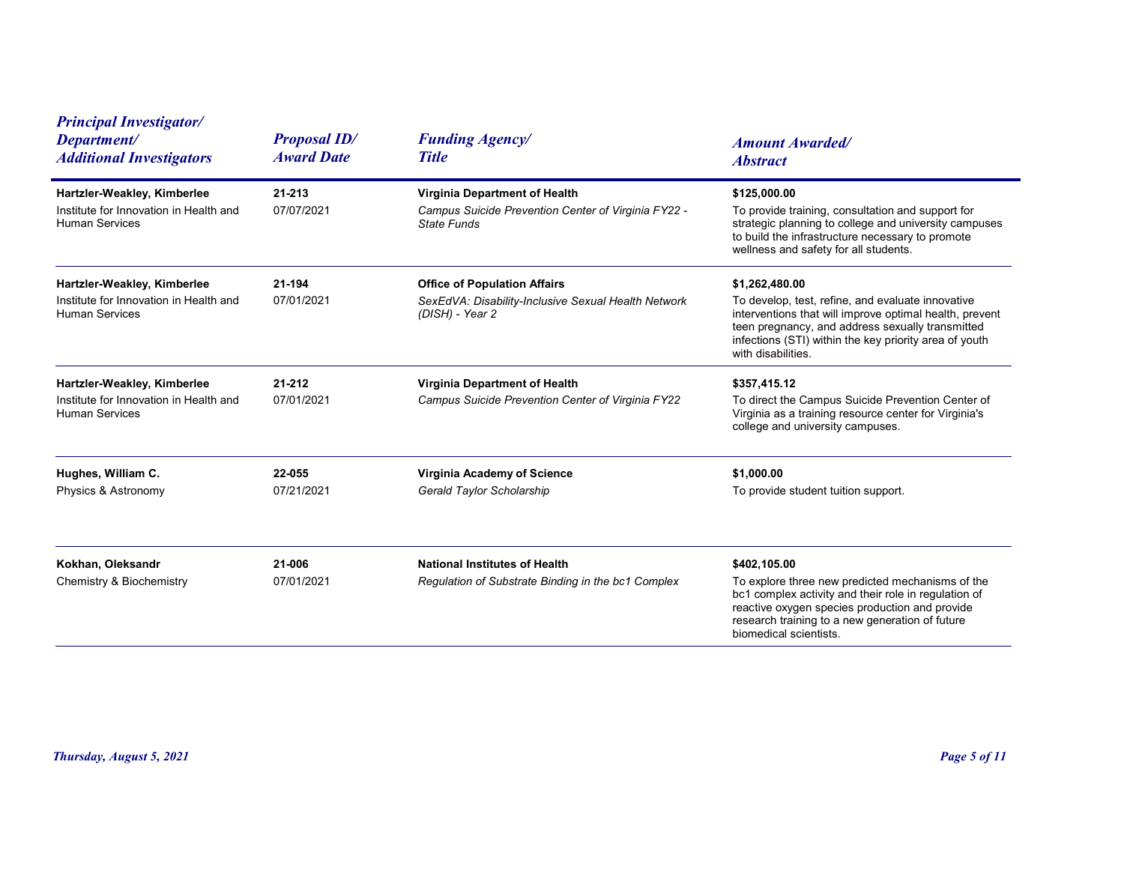| <b>Principal Investigator/</b><br>Department/<br><b>Additional Investigators</b>               | <b>Proposal ID/</b><br><b>Award Date</b> | <b>Funding Agency/</b><br><b>Title</b>                                                                        | <b>Amount Awarded/</b><br><b>Abstract</b>                                                                                                                                                                                                                          |
|------------------------------------------------------------------------------------------------|------------------------------------------|---------------------------------------------------------------------------------------------------------------|--------------------------------------------------------------------------------------------------------------------------------------------------------------------------------------------------------------------------------------------------------------------|
| Hartzler-Weakley, Kimberlee<br>Institute for Innovation in Health and<br><b>Human Services</b> | 21-213<br>07/07/2021                     | Virginia Department of Health<br>Campus Suicide Prevention Center of Virginia FY22 -<br><b>State Funds</b>    | \$125,000.00<br>To provide training, consultation and support for<br>strategic planning to college and university campuses<br>to build the infrastructure necessary to promote<br>wellness and safety for all students.                                            |
| Hartzler-Weakley, Kimberlee<br>Institute for Innovation in Health and<br><b>Human Services</b> | 21-194<br>07/01/2021                     | <b>Office of Population Affairs</b><br>SexEdVA: Disability-Inclusive Sexual Health Network<br>(DISH) - Year 2 | \$1,262,480.00<br>To develop, test, refine, and evaluate innovative<br>interventions that will improve optimal health, prevent<br>teen pregnancy, and address sexually transmitted<br>infections (STI) within the key priority area of youth<br>with disabilities. |
| Hartzler-Weakley, Kimberlee<br>Institute for Innovation in Health and<br><b>Human Services</b> | 21-212<br>07/01/2021                     | Virginia Department of Health<br>Campus Suicide Prevention Center of Virginia FY22                            | \$357,415.12<br>To direct the Campus Suicide Prevention Center of<br>Virginia as a training resource center for Virginia's<br>college and university campuses.                                                                                                     |
| Hughes, William C.<br>Physics & Astronomy                                                      | 22-055<br>07/21/2021                     | Virginia Academy of Science<br>Gerald Taylor Scholarship                                                      | \$1,000.00<br>To provide student tuition support.                                                                                                                                                                                                                  |
| Kokhan, Oleksandr<br><b>Chemistry &amp; Biochemistry</b>                                       | 21-006<br>07/01/2021                     | <b>National Institutes of Health</b><br>Regulation of Substrate Binding in the bc1 Complex                    | \$402,105.00<br>To explore three new predicted mechanisms of the<br>bc1 complex activity and their role in regulation of<br>reactive oxygen species production and provide<br>research training to a new generation of future<br>biomedical scientists.            |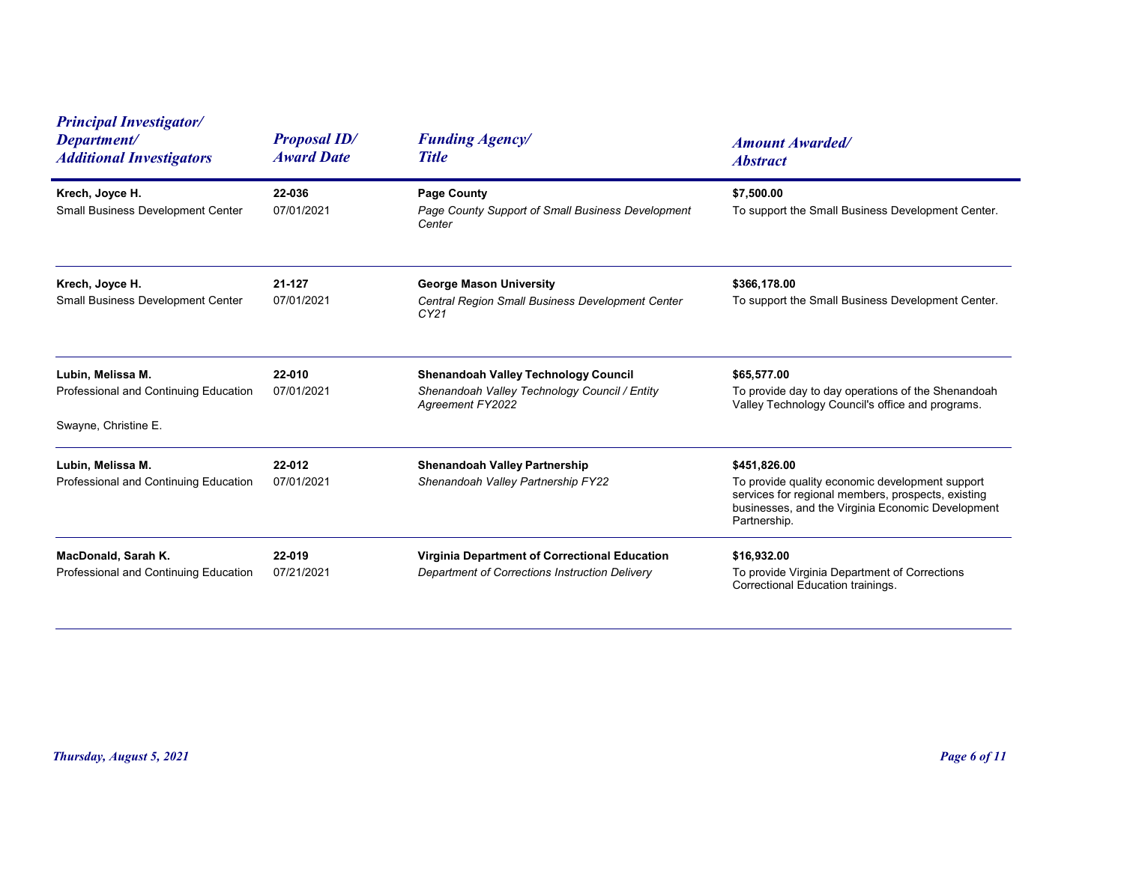| <b>Principal Investigator/</b>                                                     |                                          |                                                                                                                  |                                                                                                                                                                                            |
|------------------------------------------------------------------------------------|------------------------------------------|------------------------------------------------------------------------------------------------------------------|--------------------------------------------------------------------------------------------------------------------------------------------------------------------------------------------|
| Department/<br><b>Additional Investigators</b>                                     | <b>Proposal ID/</b><br><b>Award Date</b> | <b>Funding Agency/</b><br><b>Title</b>                                                                           | <b>Amount Awarded/</b><br><b>Abstract</b>                                                                                                                                                  |
| Krech, Joyce H.<br><b>Small Business Development Center</b>                        | 22-036<br>07/01/2021                     | <b>Page County</b><br>Page County Support of Small Business Development<br>Center                                | \$7,500.00<br>To support the Small Business Development Center.                                                                                                                            |
| Krech, Joyce H.<br>Small Business Development Center                               | 21-127<br>07/01/2021                     | <b>George Mason University</b><br>Central Region Small Business Development Center<br>CY21                       | \$366,178.00<br>To support the Small Business Development Center.                                                                                                                          |
| Lubin, Melissa M.<br>Professional and Continuing Education<br>Swayne, Christine E. | 22-010<br>07/01/2021                     | <b>Shenandoah Valley Technology Council</b><br>Shenandoah Valley Technology Council / Entity<br>Agreement FY2022 | \$65,577.00<br>To provide day to day operations of the Shenandoah<br>Valley Technology Council's office and programs.                                                                      |
| Lubin, Melissa M.<br>Professional and Continuing Education                         | 22-012<br>07/01/2021                     | <b>Shenandoah Valley Partnership</b><br>Shenandoah Valley Partnership FY22                                       | \$451,826.00<br>To provide quality economic development support<br>services for regional members, prospects, existing<br>businesses, and the Virginia Economic Development<br>Partnership. |
| MacDonald, Sarah K.<br>Professional and Continuing Education                       | 22-019<br>07/21/2021                     | Virginia Department of Correctional Education<br>Department of Corrections Instruction Delivery                  | \$16,932.00<br>To provide Virginia Department of Corrections<br>Correctional Education trainings.                                                                                          |
| Thursday, August 5, 2021                                                           |                                          |                                                                                                                  | Page 6 of 11                                                                                                                                                                               |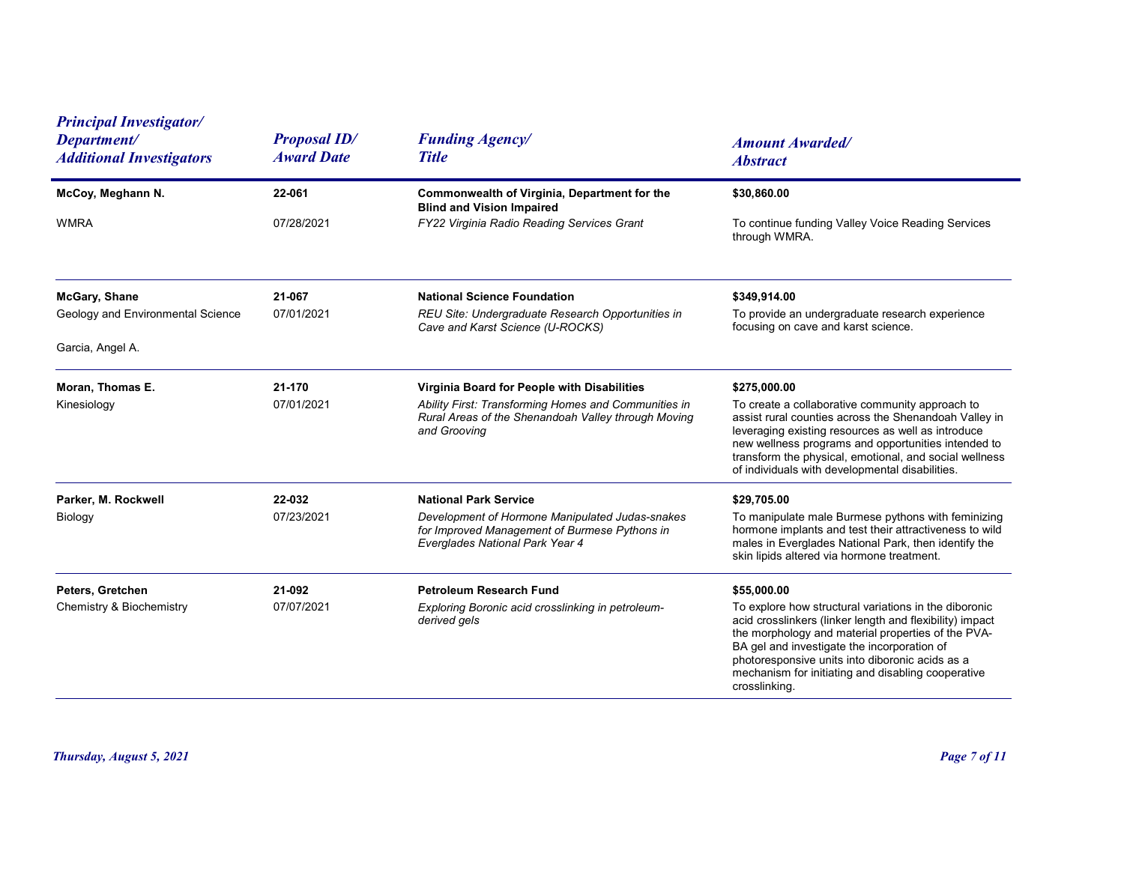| <b>Principal Investigator/</b><br>Department/<br><b>Additional Investigators</b> | <b>Proposal ID/</b><br><b>Award Date</b> | <b>Funding Agency/</b><br><b>Title</b>                                                                                                                                     | <b>Amount Awarded/</b><br><b>Abstract</b>                                                                                                                                                                                                                                                                                                                       |
|----------------------------------------------------------------------------------|------------------------------------------|----------------------------------------------------------------------------------------------------------------------------------------------------------------------------|-----------------------------------------------------------------------------------------------------------------------------------------------------------------------------------------------------------------------------------------------------------------------------------------------------------------------------------------------------------------|
| McCoy, Meghann N.                                                                | 22-061                                   | Commonwealth of Virginia, Department for the                                                                                                                               | \$30,860.00                                                                                                                                                                                                                                                                                                                                                     |
| <b>WMRA</b>                                                                      | 07/28/2021                               | <b>Blind and Vision Impaired</b><br>FY22 Virginia Radio Reading Services Grant                                                                                             | To continue funding Valley Voice Reading Services<br>through WMRA.                                                                                                                                                                                                                                                                                              |
| <b>McGary, Shane</b>                                                             | 21-067                                   | <b>National Science Foundation</b>                                                                                                                                         | \$349,914.00                                                                                                                                                                                                                                                                                                                                                    |
| Geology and Environmental Science                                                | 07/01/2021                               | REU Site: Undergraduate Research Opportunities in<br>Cave and Karst Science (U-ROCKS)                                                                                      | To provide an undergraduate research experience<br>focusing on cave and karst science.                                                                                                                                                                                                                                                                          |
| Garcia, Angel A.                                                                 |                                          |                                                                                                                                                                            |                                                                                                                                                                                                                                                                                                                                                                 |
| Moran, Thomas E.<br>Kinesiology                                                  | 21-170<br>07/01/2021                     | Virginia Board for People with Disabilities<br>Ability First: Transforming Homes and Communities in<br>Rural Areas of the Shenandoah Valley through Moving<br>and Grooving | \$275,000.00<br>To create a collaborative community approach to<br>assist rural counties across the Shenandoah Valley in<br>leveraging existing resources as well as introduce<br>new wellness programs and opportunities intended to<br>transform the physical, emotional, and social wellness<br>of individuals with developmental disabilities.              |
| Parker, M. Rockwell<br>Biology                                                   | 22-032<br>07/23/2021                     | <b>National Park Service</b><br>Development of Hormone Manipulated Judas-snakes<br>for Improved Management of Burmese Pythons in<br>Everglades National Park Year 4        | \$29,705.00<br>To manipulate male Burmese pythons with feminizing<br>hormone implants and test their attractiveness to wild<br>males in Everglades National Park, then identify the<br>skin lipids altered via hormone treatment.                                                                                                                               |
| Peters, Gretchen<br>Chemistry & Biochemistry                                     | 21-092<br>07/07/2021                     | Petroleum Research Fund<br>Exploring Boronic acid crosslinking in petroleum-<br>derived gels                                                                               | \$55,000.00<br>To explore how structural variations in the diboronic<br>acid crosslinkers (linker length and flexibility) impact<br>the morphology and material properties of the PVA-<br>BA gel and investigate the incorporation of<br>photoresponsive units into diboronic acids as a<br>mechanism for initiating and disabling cooperative<br>crosslinking. |
| Thursday, August 5, 2021                                                         |                                          |                                                                                                                                                                            | Page 7 of 11                                                                                                                                                                                                                                                                                                                                                    |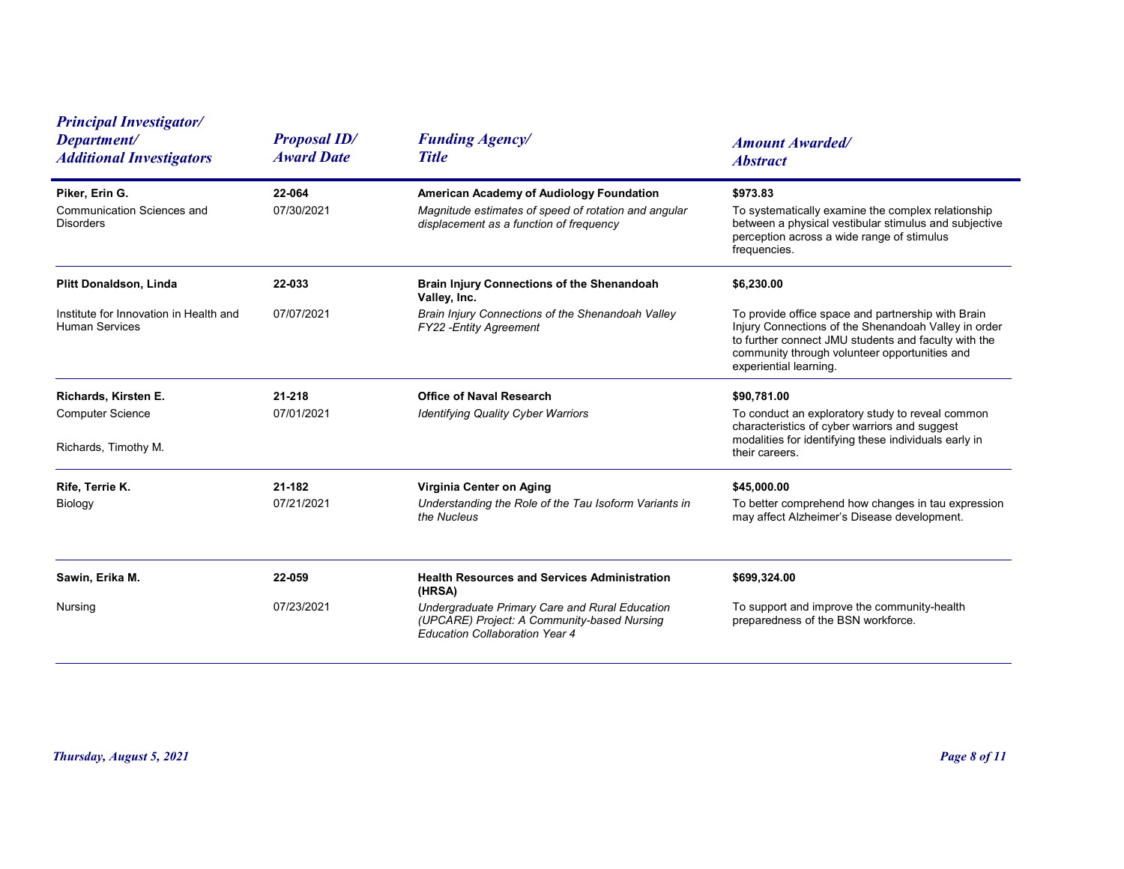| <b>Principal Investigator/</b>                                          |                                          |                                                                                                                                             |                                                                                                                                                                                                                                               |
|-------------------------------------------------------------------------|------------------------------------------|---------------------------------------------------------------------------------------------------------------------------------------------|-----------------------------------------------------------------------------------------------------------------------------------------------------------------------------------------------------------------------------------------------|
| Department/<br><b>Additional Investigators</b>                          | <b>Proposal ID/</b><br><b>Award Date</b> | <b>Funding Agency/</b><br><b>Title</b>                                                                                                      | <b>Amount Awarded/</b><br><b>Abstract</b>                                                                                                                                                                                                     |
| Piker, Erin G.<br><b>Communication Sciences and</b><br><b>Disorders</b> | 22-064<br>07/30/2021                     | American Academy of Audiology Foundation<br>Magnitude estimates of speed of rotation and angular<br>displacement as a function of frequency | \$973.83<br>To systematically examine the complex relationship<br>between a physical vestibular stimulus and subjective<br>perception across a wide range of stimulus<br>frequencies.                                                         |
| <b>Plitt Donaldson, Linda</b>                                           | 22-033                                   | <b>Brain Injury Connections of the Shenandoah</b>                                                                                           | \$6,230.00                                                                                                                                                                                                                                    |
| Institute for Innovation in Health and<br><b>Human Services</b>         | 07/07/2021                               | Valley, Inc.<br>Brain Injury Connections of the Shenandoah Valley<br>FY22 - Entity Agreement                                                | To provide office space and partnership with Brain<br>Injury Connections of the Shenandoah Valley in order<br>to further connect JMU students and faculty with the<br>community through volunteer opportunities and<br>experiential learning. |
| Richards, Kirsten E.<br><b>Computer Science</b><br>Richards, Timothy M. | 21-218<br>07/01/2021                     | <b>Office of Naval Research</b><br><b>Identifying Quality Cyber Warriors</b>                                                                | \$90,781.00<br>To conduct an exploratory study to reveal common<br>characteristics of cyber warriors and suggest<br>modalities for identifying these individuals early in<br>their careers.                                                   |
| Rife, Terrie K.<br>Biology                                              | 21-182<br>07/21/2021                     | Virginia Center on Aging<br>Understanding the Role of the Tau Isoform Variants in<br>the Nucleus                                            | \$45,000.00<br>To better comprehend how changes in tau expression<br>may affect Alzheimer's Disease development.                                                                                                                              |
| Sawin, Erika M.                                                         | 22-059                                   | <b>Health Resources and Services Administration</b><br>(HRSA)                                                                               | \$699,324.00                                                                                                                                                                                                                                  |
| Nursing                                                                 | 07/23/2021                               | Undergraduate Primary Care and Rural Education<br>(UPCARE) Project: A Community-based Nursing<br><b>Education Collaboration Year 4</b>      | To support and improve the community-health<br>preparedness of the BSN workforce.                                                                                                                                                             |
|                                                                         |                                          |                                                                                                                                             |                                                                                                                                                                                                                                               |
| Thursday, August 5, 2021                                                |                                          |                                                                                                                                             | Page 8 of 11                                                                                                                                                                                                                                  |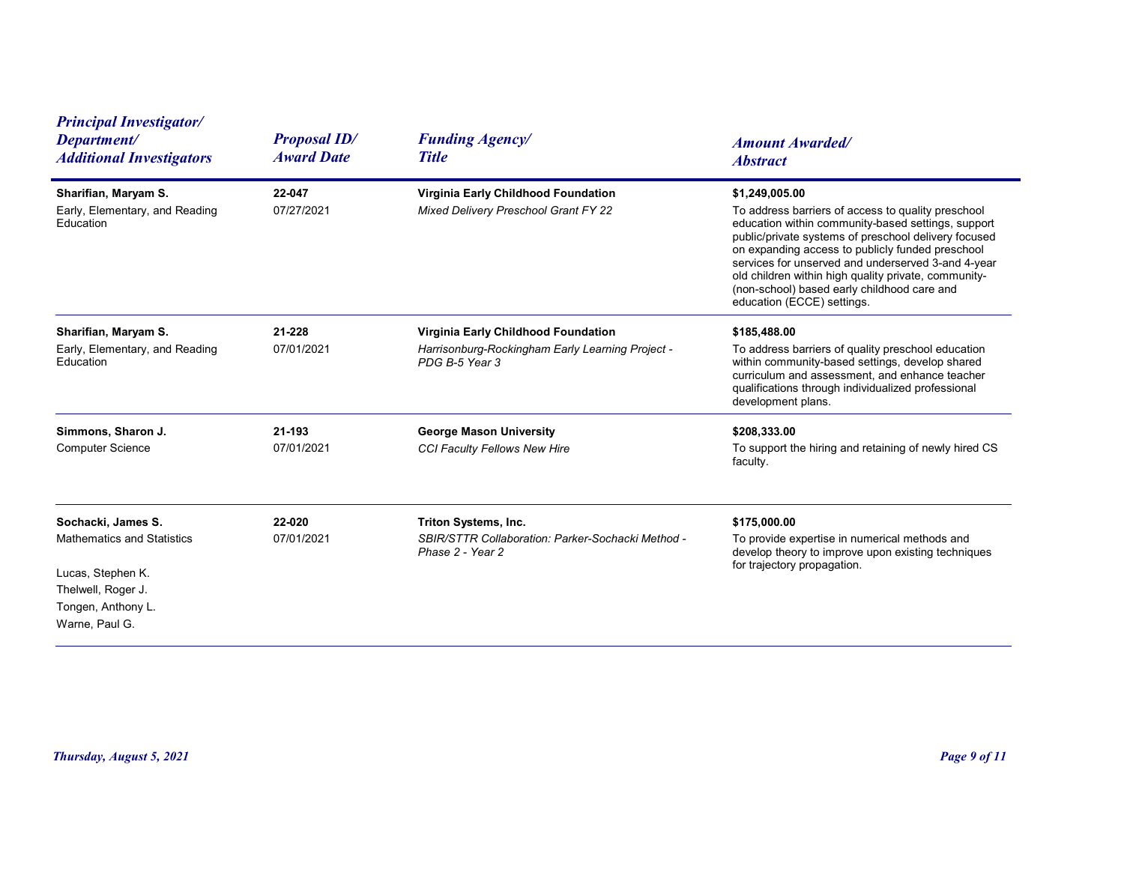| <b>Principal Investigator/</b><br>Department/<br><b>Additional Investigators</b>                                                           | <b>Proposal ID/</b><br><b>Award Date</b> | <b>Funding Agency/</b><br><b>Title</b>                                                                    | <b>Amount Awarded/</b><br><b>Abstract</b>                                                                                                                                                                                                                                                                                                                                                                                         |
|--------------------------------------------------------------------------------------------------------------------------------------------|------------------------------------------|-----------------------------------------------------------------------------------------------------------|-----------------------------------------------------------------------------------------------------------------------------------------------------------------------------------------------------------------------------------------------------------------------------------------------------------------------------------------------------------------------------------------------------------------------------------|
| Sharifian, Maryam S.<br>Early, Elementary, and Reading<br>Education                                                                        | 22-047<br>07/27/2021                     | Virginia Early Childhood Foundation<br>Mixed Delivery Preschool Grant FY 22                               | \$1,249,005.00<br>To address barriers of access to quality preschool<br>education within community-based settings, support<br>public/private systems of preschool delivery focused<br>on expanding access to publicly funded preschool<br>services for unserved and underserved 3-and 4-year<br>old children within high quality private, community-<br>(non-school) based early childhood care and<br>education (ECCE) settings. |
| Sharifian, Maryam S.<br>Early, Elementary, and Reading<br>Education                                                                        | 21-228<br>07/01/2021                     | Virginia Early Childhood Foundation<br>Harrisonburg-Rockingham Early Learning Project -<br>PDG B-5 Year 3 | \$185,488.00<br>To address barriers of quality preschool education<br>within community-based settings, develop shared<br>curriculum and assessment, and enhance teacher<br>qualifications through individualized professional<br>development plans.                                                                                                                                                                               |
| Simmons, Sharon J.<br><b>Computer Science</b>                                                                                              | 21-193<br>07/01/2021                     | <b>George Mason University</b><br>CCI Faculty Fellows New Hire                                            | \$208,333.00<br>To support the hiring and retaining of newly hired CS<br>faculty.                                                                                                                                                                                                                                                                                                                                                 |
| Sochacki, James S.<br><b>Mathematics and Statistics</b><br>Lucas, Stephen K.<br>Thelwell, Roger J.<br>Tongen, Anthony L.<br>Warne, Paul G. | 22-020<br>07/01/2021                     | Triton Systems, Inc.<br>SBIR/STTR Collaboration: Parker-Sochacki Method -<br>Phase 2 - Year 2             | \$175,000.00<br>To provide expertise in numerical methods and<br>develop theory to improve upon existing techniques<br>for trajectory propagation.                                                                                                                                                                                                                                                                                |
| Thursday, August 5, 2021                                                                                                                   |                                          |                                                                                                           | Page 9 of 11                                                                                                                                                                                                                                                                                                                                                                                                                      |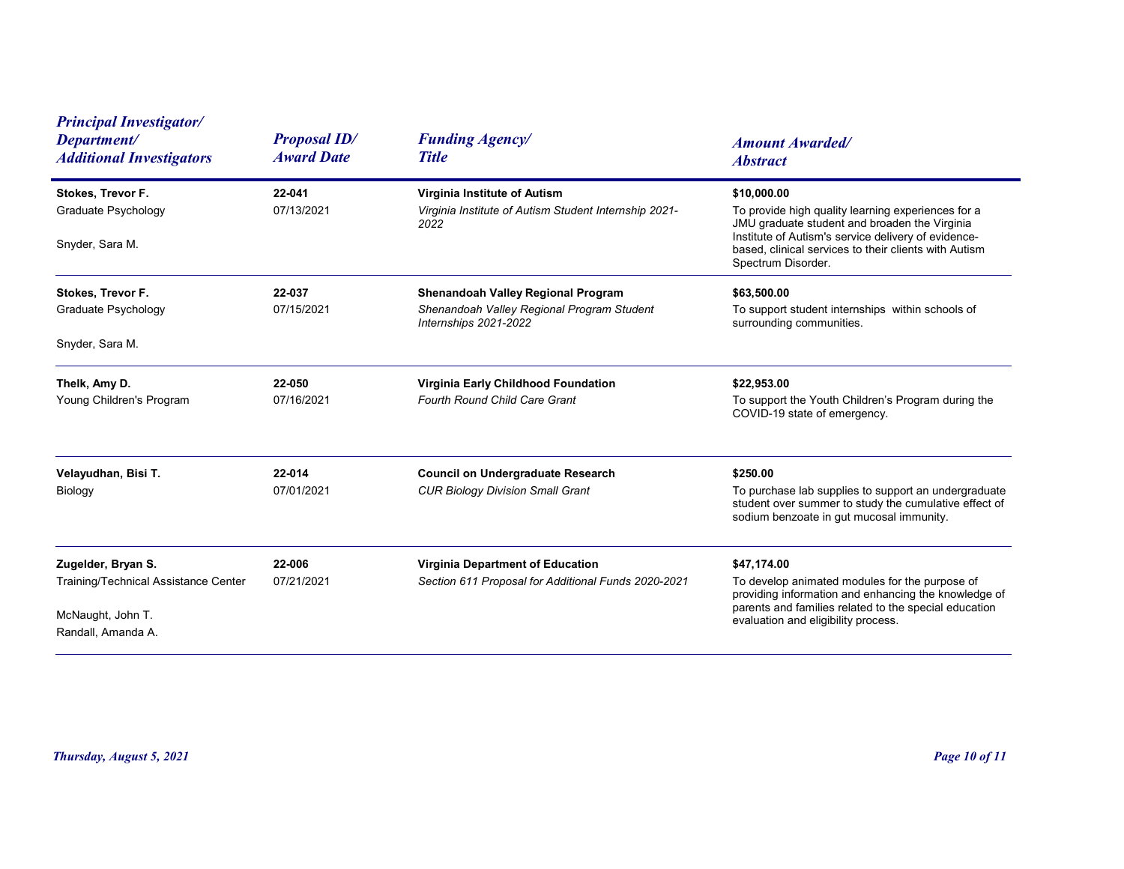| <b>Principal Investigator/</b><br>Department/<br><b>Additional Investigators</b>                      | <b>Proposal ID/</b><br><b>Award Date</b> | <b>Funding Agency/</b><br><b>Title</b>                                                                    | <b>Amount Awarded/</b><br><b>Abstract</b>                                                                                                                                                                                                                |
|-------------------------------------------------------------------------------------------------------|------------------------------------------|-----------------------------------------------------------------------------------------------------------|----------------------------------------------------------------------------------------------------------------------------------------------------------------------------------------------------------------------------------------------------------|
| Stokes, Trevor F.<br>Graduate Psychology<br>Snyder, Sara M.                                           | 22-041<br>07/13/2021                     | Virginia Institute of Autism<br>Virginia Institute of Autism Student Internship 2021-<br>2022             | \$10,000.00<br>To provide high quality learning experiences for a<br>JMU graduate student and broaden the Virginia<br>Institute of Autism's service delivery of evidence-<br>based, clinical services to their clients with Autism<br>Spectrum Disorder. |
| Stokes, Trevor F.<br>Graduate Psychology<br>Snyder, Sara M.                                           | 22-037<br>07/15/2021                     | Shenandoah Valley Regional Program<br>Shenandoah Valley Regional Program Student<br>Internships 2021-2022 | \$63,500.00<br>To support student internships within schools of<br>surrounding communities.                                                                                                                                                              |
| Thelk, Amy D.<br>Young Children's Program                                                             | 22-050<br>07/16/2021                     | Virginia Early Childhood Foundation<br>Fourth Round Child Care Grant                                      | \$22,953.00<br>To support the Youth Children's Program during the<br>COVID-19 state of emergency.                                                                                                                                                        |
| Velayudhan, Bisi T.<br>Biology                                                                        | 22-014<br>07/01/2021                     | <b>Council on Undergraduate Research</b><br><b>CUR Biology Division Small Grant</b>                       | \$250.00<br>To purchase lab supplies to support an undergraduate<br>student over summer to study the cumulative effect of<br>sodium benzoate in gut mucosal immunity.                                                                                    |
| Zugelder, Bryan S.<br>Training/Technical Assistance Center<br>McNaught, John T.<br>Randall, Amanda A. | 22-006<br>07/21/2021                     | Virginia Department of Education<br>Section 611 Proposal for Additional Funds 2020-2021                   | \$47,174.00<br>To develop animated modules for the purpose of<br>providing information and enhancing the knowledge of<br>parents and families related to the special education<br>evaluation and eligibility process.                                    |
| Thursday, August 5, 2021                                                                              |                                          |                                                                                                           | <b>Page 10 of 11</b>                                                                                                                                                                                                                                     |